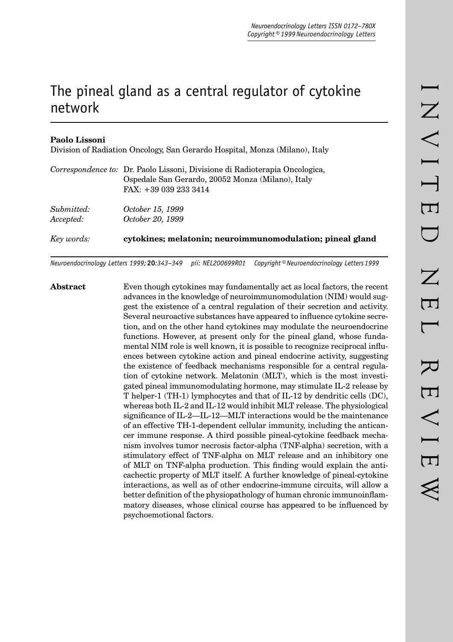# The pineal gland as a central regulator of cytokine network

## **Paolo Lissoni**

Division of Radiation Oncology, San Gerardo Hospital, Monza (Milano), Italy

| Key words: | cytokines; melatonin; neuroimmunomodulation; pineal gland                   |
|------------|-----------------------------------------------------------------------------|
| Accepted:  | October 20, 1999                                                            |
| Submitted: | October 15, 1999                                                            |
|            | Ospedale San Gerardo, 20052 Monza (Milano), Italy<br>FAX: +39 039 233 3414  |
|            | Correspondence to: Dr. Paolo Lissoni, Divisione di Radioterapia Oncologica, |

*Neuroendocrinology Letters 1999;* **20***:343–349 pii: NEL200699R01 Copyright © Neuroendocrinology Letters 1999*

**Abstract** Even though cytokines may fundamentally act as local factors, the recent advances in the knowledge of neuroimmunomodulation (NIM) would suggest the existence of a central regulation of their secretion and activity. Several neuroactive substances have appeared to influence cytokine secretion, and on the other hand cytokines may modulate the neuroendocrine functions. However, at present only for the pineal gland, whose fundamental NIM role is well known, it is possible to recognize reciprocal influences between cytokine action and pineal endocrine activity, suggesting the existence of feedback mechanisms responsible for a central regulation of cytokine network. Melatonin (MLT), which is the most investigated pineal immunomodulating hormone, may stimulate IL-2 release by T helper-1 (TH-1) lymphocytes and that of IL-12 by dendritic cells (DC), whereas both IL-2 and IL-12 would inhibit MLT release. The physiological significance of IL-2—IL-12—MLT interactions would be the maintenance of an effective TH-1-dependent cellular immunity, including the anticancer immune response. A third possible pineal-cytokine feedback mechanism involves tumor necrosis factor-alpha (TNF-alpha) secretion, with a stimulatory effect of TNF-alpha on MLT release and an inhibitory one of MLT on TNF-alpha production. This finding would explain the anticachectic property of MLT itself. A further knowledge of pineal-cytokine interactions, as well as of other endocrine-immune circuits, will allow a better definition of the physiopathology of human chronic immunoinflammatory diseases, whose clinical course has appeared to be influenced by psychoemotional factors.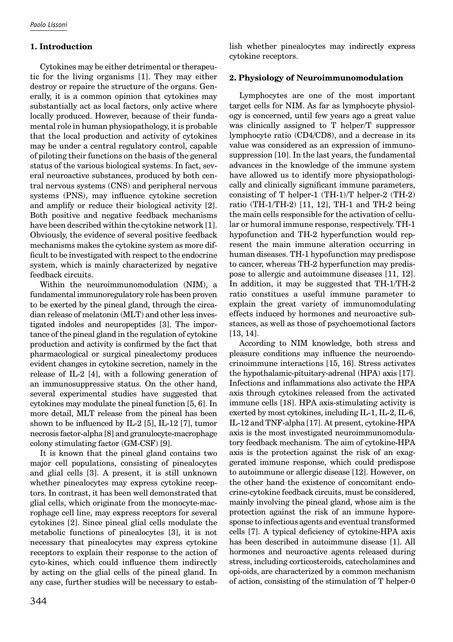## **1. Introduction**

Cytokines may be either detrimental or therapeutic for the living organisms [1]. They may either destroy or repaire the structure of the organs. Generally, it is a common opinion that cytokines may substantially act as local factors, only active where locally produced. However, because of their fundamental role in human physiopathology, it is probable that the local production and activity of cytokines may be under a central regulatory control, capable of piloting their functions on the basis of the general status of the various biological systems. In fact, several neuroactive substances, produced by both central nervous systems (CNS) and peripheral nervous systems (PNS), may influence cytokine secretion and amplify or reduce their biological activity [2]. Both positive and negative feedback mechanisms have been described within the cytokine network [1]. Obviously, the evidence of several positive feedback mechanisms makes the cytokine system as more difficult to be investigated with respect to the endocrine system, which is mainly characterized by negative feedback circuits.

Within the neuroimmunomodulation (NIM), a fundamental immunoregulatory role has been proven to be exerted by the pineal gland, through the circadian release of melatonin (MLT) and other less investigated indoles and neuropeptides [3]. The importance of the pineal gland in the regulation of cytokine production and activity is confirmed by the fact that pharmacological or surgical pinealectomy produces evident changes in cytokine secretion, namely in the release of IL-2 [4], with a following generation of an immunosuppressive status. On the other hand, several experimental studies have suggested that cytokines may modulate the pineal function [5, 6]. In more detail, MLT release from the pineal has been shown to be influenced by IL-2  $[5]$ , IL-12  $[7]$ , tumor necrosis factor-alpha [8] and granulocyte-macrophage colony stimulating factor (GM-CSF) [9].

It is known that the pineal gland contains two major cell populations, consisting of pinealocytes and glial cells [3]. A present, it is still unknown whether pinealocytes may express cytokine receptors. In contrast, it has been well demonstrated that glial cells, which originate from the monocyte-macrophage cell line, may express receptors for several cytokines [2]. Since pineal glial cells modulate the metabolic functions of pinealocytes [3], it is not necessary that pinealocytes may express cytokine receptors to explain their response to the action of cyto-kines, which could influence them indirectly by acting on the glial cells of the pineal gland. In any case, further studies will be necessary to establish whether pinealocytes may indirectly express cytokine receptors.

## **2. Physiology of Neuroimmunomodulation**

Lymphocytes are one of the most important target cells for NIM. As far as lymphocyte physiology is concerned, until few years ago a great value was clinically assigned to T helper/T suppressor lymphocyte ratio (CD4/CD8), and a decrease in its value was considered as an expression of immunosuppression [10]. In the last years, the fundamental advances in the knowledge of the immune system have allowed us to identify more physiopathologically and clinically significant immune parameters, consisting of T helper-1 (TH-1)/T helper-2 (TH-2) ratio (TH-1/TH-2) [11, 12], TH-1 and TH-2 being the main cells responsible for the activation of cellular or humoral immune response, respectively. TH-1 hypofunction and TH-2 hyperfunction would represent the main immune alteration occurring in human diseases. TH-1 hypofunction may predispose to cancer, whereas TH-2 hyperfunction may predispose to allergic and autoimmune diseases [11, 12]. In addition, it may be suggested that TH-1/TH-2 ratio constitues a useful immune parameter to explain the great variety of immunomodulating effects induced by hormones and neuroactive substances, as well as those of psychoemotional factors [13, 14].

According to NIM knowledge, both stress and pleasure conditions may influence the neuroendocrinoimmune interactions [15, 16]. Stress activates the hypothalamic-pituitary-adrenal (HPA) axis [17]. Infections and inflammations also activate the HPA axis through cytokines released from the activated immune cells [18]. HPA axis-stimulating activity is exerted by most cytokines, including IL-1, IL-2, IL-6, IL-12 and TNF-alpha [17]. At present, cytokine-HPA axis is the most investigated neuroimmunomodulatory feedback mechanism. The aim of cytokine-HPA axis is the protection against the risk of an exaggerated immune response, which could predispose to autoimmune or allergic disease [12]. However, on the other hand the existence of concomitant endocrine-cytokine feedback circuits, must be considered, mainly involving the pineal gland, whose aim is the protection against the risk of an immune hyporesponse to infectious agents and eventual transformed cells [7]. A typical deficiency of cytokine-HPA axis has been described in autoimmune disease [1]. All hormones and neuroactive agents released during stress, including corticosteroids, catecholamines and opi-oids, are characterized by a common mechanism of action, consisting of the stimulation of T helper-0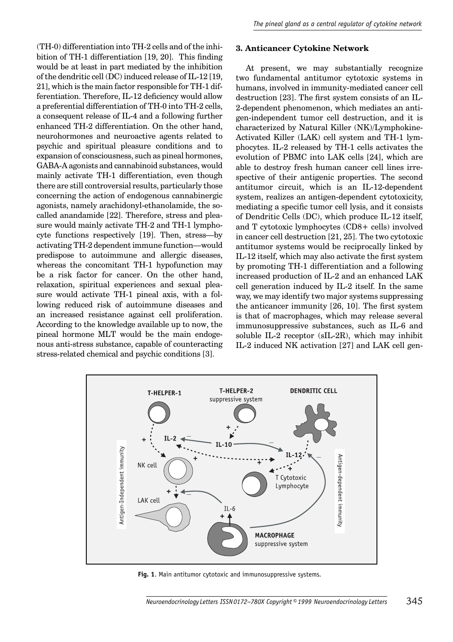(TH-0) differentiation into TH-2 cells and of the inhibition of TH-1 differentiation  $[19, 20]$ . This finding would be at least in part mediated by the inhibition of the dendritic cell (DC) induced release of IL-12 [19, 21], which is the main factor responsible for TH-1 differentiation. Therefore, IL-12 deficiency would allow a preferential differentiation of TH-0 into TH-2 cells, a consequent release of IL-4 and a following further enhanced TH-2 differentiation. On the other hand, neurohormones and neuroactive agents related to psychic and spiritual pleasure conditions and to expansion of consciousness, such as pineal hormones, GABA-A agonists and cannabinoid substances, would mainly activate TH-1 differentiation, even though there are still controversial results, particularly those concerning the action of endogenous cannabinergic agonists, namely arachidonyl-ethanolamide, the socalled anandamide [22]. Therefore, stress and pleasure would mainly activate TH-2 and TH-1 lymphocyte functions respectively [19]. Then, stress—by activating TH-2 dependent immune function—would predispose to autoimmune and allergic diseases, whereas the concomitant TH-1 hypofunction may be a risk factor for cancer. On the other hand, relaxation, spiritual experiences and sexual pleasure would activate TH-1 pineal axis, with a following reduced risk of autoimmune diseases and an increased resistance against cell proliferation. According to the knowledge available up to now, the pineal hormone MLT would be the main endogenous anti-stress substance, capable of counteracting stress-related chemical and psychic conditions [3].

## **3. Anticancer Cytokine Network**

At present, we may substantially recognize two fundamental antitumor cytotoxic systems in humans, involved in immunity-mediated cancer cell destruction [23]. The first system consists of an IL-2-dependent phenomenon, which mediates an antigen-independent tumor cell destruction, and it is characterized by Natural Killer (NK)/Lymphokine-Activated Killer (LAK) cell system and TH-1 lymphocytes. IL-2 released by TH-1 cells activates the evolution of PBMC into LAK cells [24], which are able to destroy fresh human cancer cell lines irrespective of their antigenic properties. The second antitumor circuit, which is an IL-12-dependent system, realizes an antigen-dependent cytotoxicity, mediating a specific tumor cell lysis, and it consists of Dendritic Cells (DC), which produce IL-12 itself, and T cytotoxic lymphocytes (CD8+ cells) involved in cancer cell destruction [21, 25]. The two cytotoxic antitumor systems would be reciprocally linked by IL-12 itself, which may also activate the first system by promoting TH-1 differentiation and a following increased production of IL-2 and an enhanced LAK cell generation induced by IL-2 itself. In the same way, we may identify two major systems suppressing the anticancer immunity  $[26, 10]$ . The first system is that of macrophages, which may release several immunosuppressive substances, such as IL-6 and soluble IL-2 receptor (sIL-2R), which may inhibit IL-2 induced NK activation [27] and LAK cell gen-



**Fig. 1**. Main antitumor cytotoxic and immunosuppressive systems.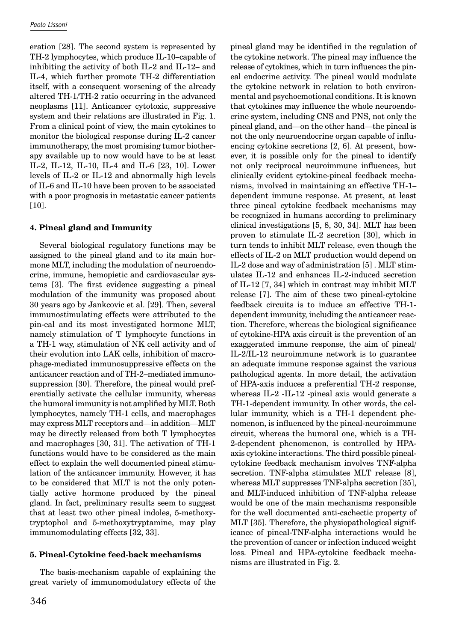eration [28]. The second system is represented by TH-2 lymphocytes, which produce IL-10–capable of inhibiting the activity of both IL-2 and IL-12– and IL-4, which further promote TH-2 differentiation itself, with a consequent worsening of the already altered TH-1/TH-2 ratio occurring in the advanced neoplasms [11]. Anticancer cytotoxic, suppressive system and their relations are illustrated in Fig. 1. From a clinical point of view, the main cytokines to monitor the biological response during IL-2 cancer immunotherapy, the most promising tumor biotherapy available up to now would have to be at least IL-2, IL-12, IL-10, IL-4 and IL-6 [23, 10]. Lower levels of IL-2 or IL-12 and abnormally high levels of IL-6 and IL-10 have been proven to be associated with a poor prognosis in metastatic cancer patients [10].

### **4. Pineal gland and Immunity**

Several biological regulatory functions may be assigned to the pineal gland and to its main hormone MLT, including the modulation of neuroendocrine, immune, hemopietic and cardiovascular systems [3]. The first evidence suggesting a pineal modulation of the immunity was proposed about 30 years ago by Jankcovic et al. [29]. Then, several immunostimulating effects were attributed to the pin-eal and its most investigated hormone MLT, namely stimulation of T lymphocyte functions in a TH-1 way, stimulation of NK cell activity and of their evolution into LAK cells, inhibition of macrophage-mediated immunosuppressive effects on the anticancer reaction and of TH-2–mediated immunosuppression [30]. Therefore, the pineal would preferentially activate the cellular immunity, whereas the humoral immunity is not amplified by MLT. Both lymphocytes, namely TH-1 cells, and macrophages may express MLT receptors and—in addition—MLT may be directly released from both T lymphocytes and macrophages [30, 31]. The activation of TH-1 functions would have to be considered as the main effect to explain the well documented pineal stimulation of the anticancer immunity. However, it has to be considered that MLT is not the only potentially active hormone produced by the pineal gland. In fact, preliminary results seem to suggest that at least two other pineal indoles, 5-methoxytryptophol and 5-methoxytryptamine, may play immunomodulating effects [32, 33].

## **5. Pineal-Cytokine feed-back mechanisms**

The basis-mechanism capable of explaining the great variety of immunomodulatory effects of the

pineal gland may be identified in the regulation of the cytokine network. The pineal may influence the release of cytokines, which in turn influences the pineal endocrine activity. The pineal would modulate the cytokine network in relation to both environmental and psychoemotional conditions. It is known that cytokines may influence the whole neuroendocrine system, including CNS and PNS, not only the pineal gland, and—on the other hand—the pineal is not the only neuroendocrine organ capable of influencing cytokine secretions [2, 6]. At present, however, it is possible only for the pineal to identify not only reciprocal neuroimmune influences, but clinically evident cytokine-pineal feedback mechanisms, involved in maintaining an effective TH-1– dependent immune response. At present, at least three pineal cytokine feedback mechanisms may be recognized in humans according to preliminary clinical investigations [5, 8, 30, 34]. MLT has been proven to stimulate IL-2 secretion [30], which in turn tends to inhibit MLT release, even though the effects of IL-2 on MLT production would depend on IL-2 dose and way of administration [5] . MLT stimulates IL-12 and enhances IL-2-induced secretion of IL-12 [7, 34] which in contrast may inhibit MLT release [7]. The aim of these two pineal-cytokine feedback circuits is to induce an effective TH-1 dependent immunity, including the anticancer reaction. Therefore, whereas the biological significance of cytokine-HPA axis circuit is the prevention of an exaggerated immune response, the aim of pineal/ IL-2/IL-12 neuroimmune network is to guarantee an adequate immune response against the various pathological agents. In more detail, the activation of HPA-axis induces a preferential TH-2 response, whereas IL-2 -IL-12 -pineal axis would generate a TH-1-dependent immunity. In other words, the cellular immunity, which is a TH-1 dependent phenomenon, is influenced by the pineal-neuroimmune circuit, whereas the humoral one, which is a TH-2-dependent phenomenon, is controlled by HPAaxis cytokine interactions. The third possible pinealcytokine feedback mechanism involves TNF-alpha secretion. TNF-alpha stimulates MLT release [8], whereas MLT suppresses TNF-alpha secretion [35], and MLT-induced inhibition of TNF-alpha release would be one of the main mechanisms responsible for the well documented anti-cachectic property of MLT [35]. Therefore, the physiopathological significance of pineal-TNF-alpha interactions would be the prevention of cancer or infection induced weight loss. Pineal and HPA-cytokine feedback mechanisms are illustrated in Fig. 2.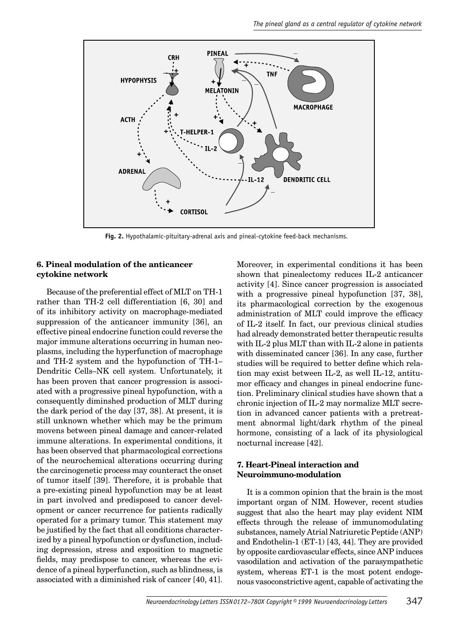

**Fig. 2.** Hypothalamic-pituitary-adrenal axis and pineal-cytokine feed-back mechanisms.

#### **6. Pineal modulation of the anticancer cytokine network**

Because of the preferential effect of MLT on TH-1 rather than TH-2 cell differentiation [6, 30] and of its inhibitory activity on macrophage-mediated suppression of the anticancer immunity [36], an effective pineal endocrine function could reverse the major immune alterations occurring in human neoplasms, including the hyperfunction of macrophage and TH-2 system and the hypofunction of TH-1– Dendritic Cells–NK cell system. Unfortunately, it has been proven that cancer progression is associated with a progressive pineal hypofunction, with a consequently diminshed production of MLT during the dark period of the day [37, 38]. At present, it is still unknown whether which may be the primum movens between pineal damage and cancer-related immune alterations. In experimental conditions, it has been observed that pharmacological corrections of the neurochemical alterations occurring during the carcinogenetic process may counteract the onset of tumor itself [39]. Therefore, it is probable that a pre-existing pineal hypofunction may be at least in part involved and predisposed to cancer development or cancer recurrence for patients radically operated for a primary tumor. This statement may be justified by the fact that all conditions characterized by a pineal hypofunction or dysfunction, including depression, stress and exposition to magnetic fields, may predispose to cancer, whereas the evidence of a pineal hyperfunction, such as blindness, is associated with a diminished risk of cancer [40, 41]. Moreover, in experimental conditions it has been shown that pinealectomy reduces IL-2 anticancer activity [4]. Since cancer progression is associated with a progressive pineal hypofunction [37, 38], its pharmacological correction by the exogenous administration of MLT could improve the efficacy of IL-2 itself. In fact, our previous clinical studies had already demonstrated better therapeutic results with IL-2 plus MLT than with IL-2 alone in patients with disseminated cancer [36]. In any case, further studies will be required to better define which relation may exist between IL-2, as well IL-12, antitumor efficacy and changes in pineal endocrine function. Preliminary clinical studies have shown that a chronic injection of IL-2 may normalize MLT secretion in advanced cancer patients with a pretreatment abnormal light/dark rhythm of the pineal hormone, consisting of a lack of its physiological nocturnal increase [42].

#### **7. Heart-Pineal interaction and Neuroimmuno-modulation**

It is a common opinion that the brain is the most important organ of NIM. However, recent studies suggest that also the heart may play evident NIM effects through the release of immunomodulating substances, namely Atrial Natriuretic Peptide (ANP) and Endothelin-1 (ET-1) [43, 44]. They are provided by opposite cardiovascular effects, since ANP induces vasodilation and activation of the parasympathetic system, whereas ET-1 is the most potent endogenous vasoconstrictive agent, capable of activating the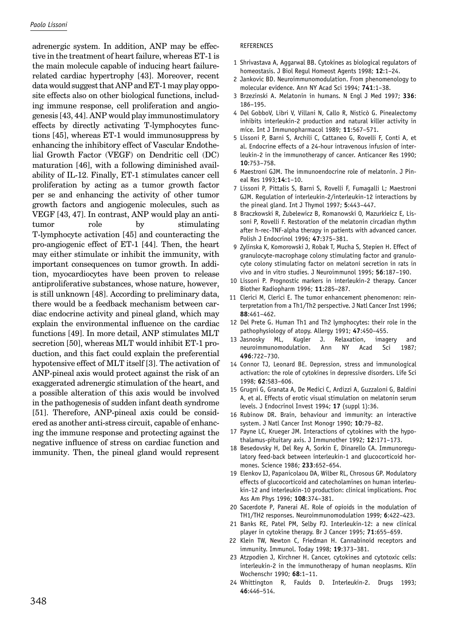adrenergic system. In addition, ANP may be effective in the treatment of heart failure, whereas ET-1 is the main molecule capable of inducing heart failurerelated cardiac hypertrophy [43]. Moreover, recent data would suggest that ANP and ET-1 may play opposite effects also on other biological functions, including immune response, cell proliferation and angiogenesis [43, 44]. ANP would play immunostimulatory effects by directly activating T-lymphocytes functions [45], whereas ET-1 would immunosuppress by enhancing the inhibitory effect of Vascular Endothelial Growth Factor (VEGF) on Dendritic cell (DC) maturation [46], with a following diminished availability of IL-12. Finally, ET-1 stimulates cancer cell proliferation by acting as a tumor growth factor per se and enhancing the activity of other tumor growth factors and angiogenic molecules, such as VEGF [43, 47]. In contrast, ANP would play an antitumor role by stimulating T-lymphocyte activation [45] and counteracting the pro-angiogenic effect of ET-1 [44]. Then, the heart may either stimulate or inhibit the immunity, with important consequences on tumor growth. In addition, myocardiocytes have been proven to release antiproliferative substances, whose nature, however, is still unknown [48]. According to preliminary data, there would be a feedback mechanism between cardiac endocrine activity and pineal gland, which may explain the environmental influence on the cardiac functions [49]. In more detail, ANP stimulates MLT secretion [50], whereas MLT would inhibit ET-1 production, and this fact could explain the preferential hypotensive effect of MLT itself [3]. The activation of ANP-pineal axis would protect against the risk of an exaggerated adrenergic stimulation of the heart, and a possible alteration of this axis would be involved in the pathogenesis of sudden infant death syndrome [51]. Therefore, ANP-pineal axis could be considered as another anti-stress circuit, capable of enhancing the immune response and protecting against the negative influence of stress on cardiac function and immunity. Then, the pineal gland would represent

#### REFERENCES

- 1 Shrivastava A, Aggarwal BB. Cytokines as biological regulators of homeostasis. J Biol Regul Homeost Agents 1998; **12**:1–24.
- 2 Jankovic BD. Neuroimmunomodulation. From phenomenology to molecular evidence. Ann NY Acad Sci 1994; **741**:1–38.
- 3 Brzezinski A. Melatonin in humans. N Engl J Med 1997; **336**: 186–195.
- 4 Del GobboV, Libri V, Villani N, Callo R, Nisticò G. Pinealectomy inhibits interleukin-2 production and natural killer activity in mice. Int J Immunopharmacol 1989; **11**:567–571.
- 5 Lissoni P, Barni S, Archili C, Cattaneo G, Rovelli F, Conti A, et al. Endocrine effects of a 24-hour intravenous infusion of interleukin-2 in the immunotherapy of cancer. Anticancer Res 1990; **10**:753–758.
- 6 Maestroni GJM. The immunoendocrine role of melatonin. J Pineal Res 1993;**14**:1–10.
- 7 Lissoni P, Pittalis S, Barni S, Rovelli F, Fumagalli L; Maestroni GJM. Regulation of interleukin-2/interleukin-12 interactions by the pineal gland. Int J Thymol 1997; **5**:443–447.
- 8 Braczkowski R, Zubelewicz B, Romanowski O, Mazurkieicz E, Lissoni P, Rovelli F. Restoration of the melatonin circadian rhythm after h-rec-TNF-alpha therapy in patients with advanced cancer. Polish J Endocrinol 1996; **47**:375–381.
- 9 Zylinska K, Komorowski J, Robak T, Mucha S, Stepien H. Effect of granulocyte-macrophage colony stimulating factor and granulocyte colony stimulating factor on melatoni secretion in rats in vivo and in vitro studies. J Neuroimmunol 1995; **56**:187–190.
- 10 Lissoni P. Prognostic markers in interleukin-2 therapy. Cancer Biother Radiopharm 1996; **11**:285–287.
- 11 Clerici M, Clerici E. The tumor enhancement phenomenon: reinterpretation from a Th1/Th2 perspective. J Natl Cancer Inst 1996; **88**:461–462.
- 12 Del Prete G. Human Th1 and Th2 lymphocytes: their role in the pathophysiology of atopy. Allergy 1991; **47**:450–455.
- 13 Jasnosky ML, Kugler J. Relaxation, imagery and neuroimmunomodulation. Ann NY Acad Sci 1987; **496**:722–730.
- 14 Connor TJ, Leonard BE. Depression, stress and immunological activation: the role of cytokines in depressive disorders. Life Sci 1998; **62**:583–606.
- 15 Grugni G, Granata A, De Medici C, Ardizzi A, Guzzaloni G, Baldini A, et al. Effects of erotic visual stimulation on melatonin serum levels. J Endocrinol Invest 1994; **17** (suppl 1):36.
- 16 Rubinow DR. Brain, behaviour and immunity: an interactive system. J Natl Cancer Inst Monogr 1990; **10**:79–82.
- 17 Payne LC, Krueger JM. Interactions of cytokines with the hypothalamus-pituitary axis. J Immunother 1992; **12**:171–173.
- 18 Besedovsky H, Del Rey A, Sorkin E, Dinarello CA. Immunoregulatory feed-back between interleukin-1 and glucocorticoid hormones. Science 1986; **233**:652–654.
- 19 Elenkov IJ, Papanicolaou DA, Wilber RL, Chrosous GP. Modulatory effects of glucocorticoid and catecholamines on human interleukin-12 and interleukin-10 production: clinical implications. Proc Ass Am Phys 1996; **108**:374–381.
- 20 Sacerdote P, Panerai AE. Role of opioids in the modulation of TH1/TH2 responses. Neuroimmunomodulation 1999; **6**:422–423.
- 21 Banks RE, Patel PM, Selby PJ. Interleukin-12: a new clinical player in cytokine therapy. Br J Cancer 1995; **71**:655–659.
- 22 Klein TW, Newton C, Friedman H. Cannabinoid receptors and immunity. Immunol. Today 1998; **19**:373–381.
- 23 Atzpodien J, Kirchner H. Cancer, cytokines and cytotoxic cells: interleukin-2 in the immunotherapy of human neoplasms. Klin Wochenschr 1990; **68**:1–11.
- 24 Whittington R, Faulds D. Interleukin-2. Drugs 1993; **46**:446–514.